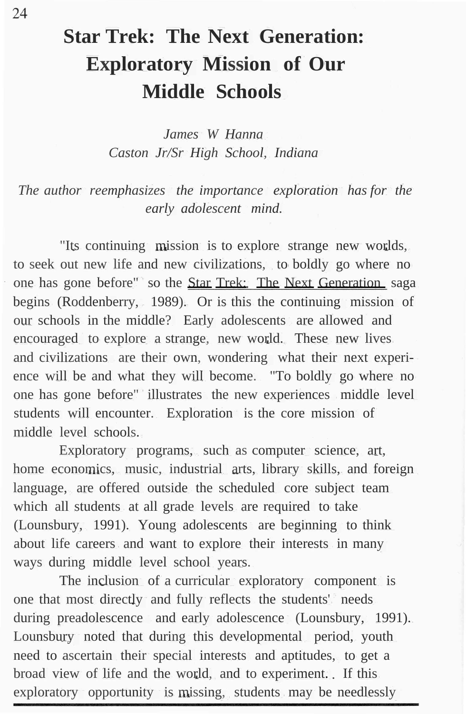## **Star Trek: The Next Generation: Exploratory Mission of Our Middle Schools**

*James W Hanna Caston Jr/Sr High School, Indiana*

*The author reemphasizes the importance exploration has for the early adolescent mind.*

"Its continuing mission is to explore strange new worlds, to seek out new life and new civilizations, to boldly go where no one has gone before" so the Star Trek: The Next Generation saga begins (Roddenberry, 1989). Or is this the continuing mission of our schools in the middle? Early adolescents are allowed and encouraged to explore a strange, new world. These new lives and civilizations are their own, wondering what their next experience will be and what they will become. "To boldly go where no one has gone before" illustrates the new experiences middle level students will encounter. Exploration is the core mission of middle level schools.

Exploratory programs, such as computer science, art, home economics, music, industrial arts, library skills, and foreign language, are offered outside the scheduled core subject team which all students at all grade levels are required to take (Lounsbury, 1991). Young adolescents are beginning to think about life careers and want to explore their interests in many ways during middle level school years.

The inclusion of a curricular exploratory component is one that most directly and fully reflects the students' needs during preadolescence and early adolescence (Lounsbury, 1991). Lounsbury noted that during this developmental period, youth need to ascertain their special interests and aptitudes, to get a broad view of life and the world, and to experiment. If this exploratory opportunity is missing, students may be needlessly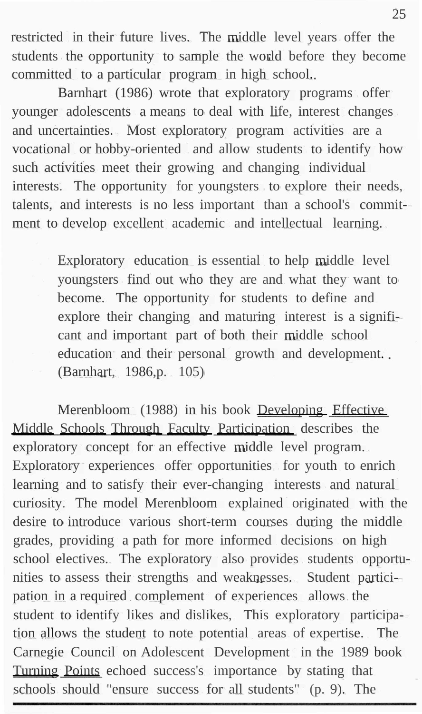restricted in their future lives. The middle level years offer the students the opportunity to sample the world before they become committed to a particular program in high school.

Barnhart (1986) wrote that exploratory programs offer younger adolescents a means to deal with life, interest changes and uncertainties. Most exploratory program activities are a vocational or hobby-oriented and allow students to identify how such activities meet their growing and changing individual interests. The opportunity for youngsters to explore their needs, talents, and interests is no less important than a school's commitment to develop excellent academic and intellectual learning.

> Exploratory education is essential to help middle level youngsters find out who they are and what they want to become. The opportunity for students to define and explore their changing and maturing interest is a significant and important part of both their middle school education and their personal growth and development.. (Barnhart, 1986,p. 105)

Merenbloom (1988) in his book Developing Effective Middle Schools Through Faculty Participation describes the exploratory concept for an effective middle level program. Exploratory experiences offer opportunities for youth to enrich learning and to satisfy their ever-changing interests and natural curiosity. The model Merenbloom explained originated with the desire to introduce various short-term courses during the middle grades, providing a path for more informed decisions on high school electives. The exploratory also provides students opportunities to assess their strengths and weaknesses. Student participation in a required complement of experiences allows the student to identify likes and dislikes, This exploratory participation allows the student to note potential areas of expertise. The Carnegie Council on Adolescent Development in the 1989 book Turning Points echoed success's importance by stating that schools should "ensure success for all students" (p. 9). The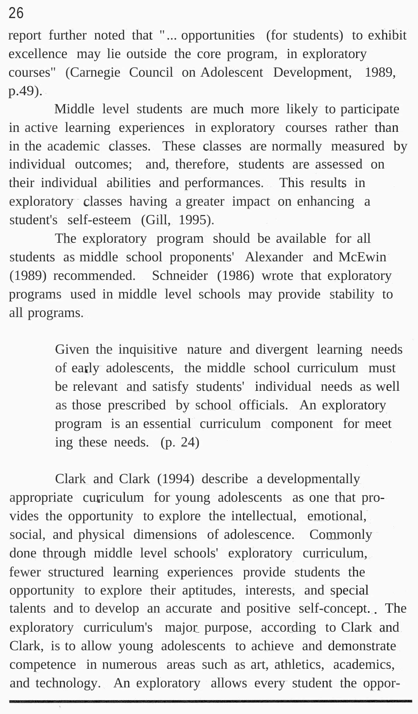report further noted that " ... opportunities (for students) to exhibit excellence may lie outside the core program, in exploratory courses" (Carnegie Council on Adolescent Development, 1989, p.49).

Middle level students are much more likely to participate in active learning experiences in exploratory courses rather than in the academic classes. These classes are normally measured by individual outcomes; and, therefore, students are assessed on their individual abilities and performances. This results in exploratory classes having a greater impact on enhancing a student's self-esteem (Gill, 1995).

The exploratory program should be available for all students as middle school proponents' Alexander and McEwin (1989) recommended. Schneider (1986) wrote that exploratory programs used in middle level schools may provide stability to all programs.

> Given the inquisitive nature and divergent learning needs of early adolescents, the middle school curriculum must be relevant and satisfy students' individual needs as well as those prescribed by school officials. An exploratory program is an essential curriculum component for meet ing these needs. (p. 24)

Clark and Clark (1994) describe a developmentally appropriate curriculum for young adolescents as one that provides the opportunity to explore the intellectual, emotional, social, and physical dimensions of adolescence. Commonly done through middle level schools' exploratory curriculum, fewer structured learning experiences provide students the opportunity to explore their aptitudes, interests, and special talents and to develop an accurate and positive self-concept. The exploratory curriculum's major purpose, according to Clark and Clark, is to allow young adolescents to achieve and demonstrate competence in numerous areas such as art, athletics, academics, and technology. An exploratory allows every student the oppor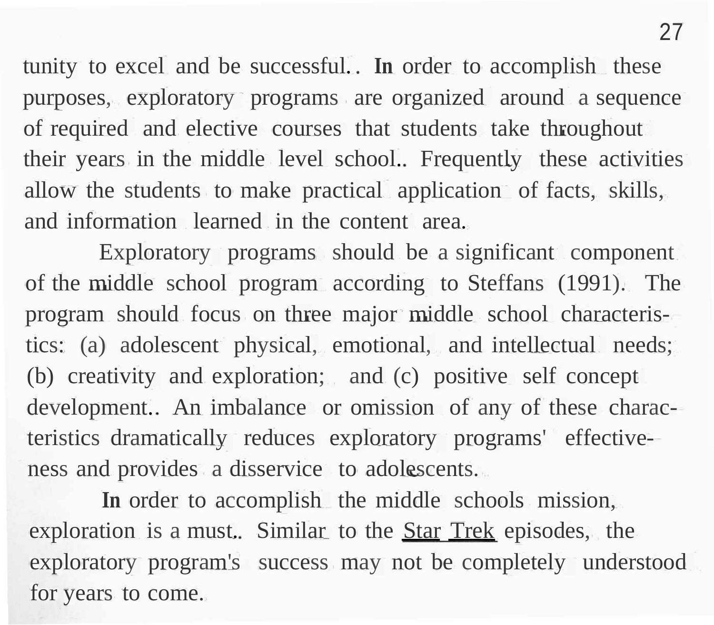tunity to excel and be successful. **In** order to accomplish these purposes, exploratory programs are organized around a sequence of required and elective courses that students take throughout their years in the middle level school. Frequently these activities allow the students to make practical application of facts, skills, and information learned in the content area.

Exploratory programs should be a significant component of the middle school program according to Steffans (1991). The program should focus on three major middle school characteristics: (a) adolescent physical, emotional, and intellectual needs; (b) creativity and exploration; and (c) positive self concept development. An imbalance or omission of any of these characteristics dramatically reduces exploratory programs' effectiveness and provides a disservice to adolescents.

**In** order to accomplish the middle schools mission, exploration is a must. Similar to the **Star Trek** episodes, the exploratory program's success may not be completely understood for years to come.